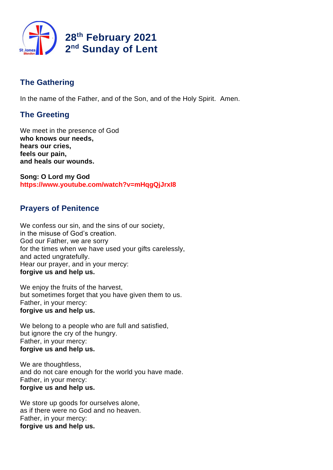

# **The Gathering**

In the name of the Father, and of the Son, and of the Holy Spirit. Amen.

# **The Greeting**

We meet in the presence of God **who knows our needs, hears our cries, feels our pain, and heals our wounds.**

**Song: O Lord my God https://www.youtube.com/watch?v=mHqgQjJrxI8**

# **Prayers of Penitence**

We confess our sin, and the sins of our society, in the misuse of God's creation. God our Father, we are sorry for the times when we have used your gifts carelessly, and acted ungratefully. Hear our prayer, and in your mercy: **forgive us and help us.**

We enjoy the fruits of the harvest, but sometimes forget that you have given them to us. Father, in your mercy: **forgive us and help us.**

We belong to a people who are full and satisfied, but ignore the cry of the hungry. Father, in your mercy: **forgive us and help us.**

We are thoughtless, and do not care enough for the world you have made. Father, in your mercy: **forgive us and help us.**

We store up goods for ourselves alone, as if there were no God and no heaven. Father, in your mercy: **forgive us and help us.**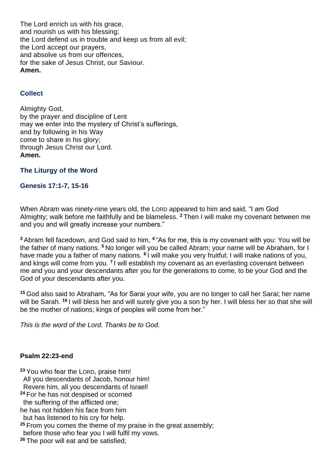The Lord enrich us with his grace, and nourish us with his blessing; the Lord defend us in trouble and keep us from all evil; the Lord accept our prayers, and absolve us from our offences, for the sake of Jesus Christ, our Saviour. **Amen.**

# **Collect**

Almighty God, by the prayer and discipline of Lent may we enter into the mystery of Christ's sufferings, and by following in his Way come to share in his glory; through Jesus Christ our Lord. **Amen.**

**The Liturgy of the Word**

## **Genesis 17:1-7, 15-16**

When Abram was ninety-nine years old, the LORD appeared to him and said, "I am God Almighty; walk before me faithfully and be blameless. **<sup>2</sup>** Then I will make my covenant between me and you and will greatly increase your numbers."

**<sup>3</sup>** Abram fell facedown, and God said to him, **<sup>4</sup>** "As for me, this is my covenant with you: You will be the father of many nations. **<sup>5</sup>** No longer will you be called Abram; your name will be Abraham, for I have made you a father of many nations. <sup>6</sup> I will make you very fruitful; I will make nations of you, and kings will come from you. <sup>7</sup> I will establish my covenant as an everlasting covenant between me and you and your descendants after you for the generations to come, to be your God and the God of your descendants after you.

**<sup>15</sup>** God also said to Abraham, "As for Sarai your wife, you are no longer to call her Sarai; her name will be Sarah. **<sup>16</sup>** I will bless her and will surely give you a son by her. I will bless her so that she will be the mother of nations; kings of peoples will come from her."

*This is the word of the Lord. Thanks be to God.*

### **Psalm 22:23-end**

**<sup>23</sup>** You who fear the LORD, praise him! All you descendants of Jacob, honour him! Revere him, all you descendants of Israel! **<sup>24</sup>** For he has not despised or scorned the suffering of the afflicted one; he has not hidden his face from him but has listened to his cry for help. **<sup>25</sup>** From you comes the theme of my praise in the great assembly; before those who fear you I will fulfil my vows.

**<sup>26</sup>** The poor will eat and be satisfied;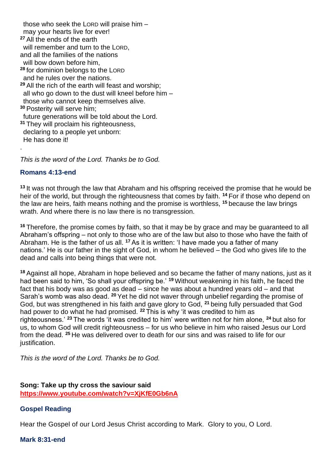those who seek the LORD will praise him – may your hearts live for ever! **<sup>27</sup>** All the ends of the earth will remember and turn to the LORD. and all the families of the nations will bow down before him, **<sup>28</sup>** for dominion belongs to the LORD and he rules over the nations. **<sup>29</sup>** All the rich of the earth will feast and worship; all who go down to the dust will kneel before him – those who cannot keep themselves alive. **<sup>30</sup>** Posterity will serve him; future generations will be told about the Lord. **<sup>31</sup>** They will proclaim his righteousness, declaring to a people yet unborn: He has done it! .

*This is the word of the Lord. Thanks be to God.*

### **Romans 4:13-end**

**<sup>13</sup>** It was not through the law that Abraham and his offspring received the promise that he would be heir of the world, but through the righteousness that comes by faith. **<sup>14</sup>** For if those who depend on the law are heirs, faith means nothing and the promise is worthless, **<sup>15</sup>** because the law brings wrath. And where there is no law there is no transgression.

**<sup>16</sup>** Therefore, the promise comes by faith, so that it may be by grace and may be guaranteed to all Abraham's offspring – not only to those who are of the law but also to those who have the faith of Abraham. He is the father of us all. **<sup>17</sup>** As it is written: 'I have made you a father of many nations.' He is our father in the sight of God, in whom he believed – the God who gives life to the dead and calls into being things that were not.

**<sup>18</sup>** Against all hope, Abraham in hope believed and so became the father of many nations, just as it had been said to him, 'So shall your offspring be.' **<sup>19</sup>** Without weakening in his faith, he faced the fact that his body was as good as dead – since he was about a hundred years old – and that Sarah's womb was also dead. **<sup>20</sup>** Yet he did not waver through unbelief regarding the promise of God, but was strengthened in his faith and gave glory to God, **<sup>21</sup>** being fully persuaded that God had power to do what he had promised. **<sup>22</sup>** This is why 'it was credited to him as righteousness.' **<sup>23</sup>** The words 'it was credited to him' were written not for him alone, **<sup>24</sup>** but also for us, to whom God will credit righteousness – for us who believe in him who raised Jesus our Lord from the dead. **<sup>25</sup>** He was delivered over to death for our sins and was raised to life for our justification.

*This is the word of the Lord. Thanks be to God.* 

# **Song: Take up thy cross the saviour said https://www.youtube.com/watch?v=XjKfE0Gb6nA**

### **Gospel Reading**

Hear the Gospel of our Lord Jesus Christ according to Mark. Glory to you, O Lord.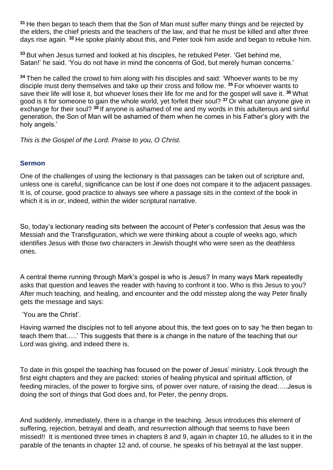**<sup>31</sup>** He then began to teach them that the Son of Man must suffer many things and be rejected by the elders, the chief priests and the teachers of the law, and that he must be killed and after three days rise again. **<sup>32</sup>** He spoke plainly about this, and Peter took him aside and began to rebuke him.

**<sup>33</sup>** But when Jesus turned and looked at his disciples, he rebuked Peter. 'Get behind me, Satan!' he said. 'You do not have in mind the concerns of God, but merely human concerns.'

**<sup>34</sup>** Then he called the crowd to him along with his disciples and said: 'Whoever wants to be my disciple must deny themselves and take up their cross and follow me. **<sup>35</sup>** For whoever wants to save their life will lose it, but whoever loses their life for me and for the gospel will save it. **<sup>36</sup>** What good is it for someone to gain the whole world, yet forfeit their soul? **<sup>37</sup>** Or what can anyone give in exchange for their soul? **<sup>38</sup>** If anyone is ashamed of me and my words in this adulterous and sinful generation, the Son of Man will be ashamed of them when he comes in his Father's glory with the holy angels.'

*This is the Gospel of the Lord. Praise to you, O Christ.*

# **Sermon**

One of the challenges of using the lectionary is that passages can be taken out of scripture and, unless one is careful, significance can be lost if one does not compare it to the adjacent passages. It is, of course, good practice to always see where a passage sits in the context of the book in which it is in or, indeed, within the wider scriptural narrative.

So, today's lectionary reading sits between the account of Peter's confession that Jesus was the Messiah and the Transfiguration, which we were thinking about a couple of weeks ago, which identifies Jesus with those two characters in Jewish thought who were seen as the deathless ones.

A central theme running through Mark's gospel is who is Jesus? In many ways Mark repeatedly asks that question and leaves the reader with having to confront it too. Who is this Jesus to you? After much teaching, and healing, and encounter and the odd misstep along the way Peter finally gets the message and says:

'You are the Christ'.

Having warned the disciples not to tell anyone about this, the text goes on to say 'he then began to teach them that…..' This suggests that there is a change in the nature of the teaching that our Lord was giving, and indeed there is.

To date in this gospel the teaching has focused on the power of Jesus' ministry. Look through the first eight chapters and they are packed: stories of healing physical and spiritual affliction, of feeding miracles, of the power to forgive sins, of power over nature, of raising the dead…..Jesus is doing the sort of things that God does and, for Peter, the penny drops.

And suddenly, immediately, there is a change in the teaching. Jesus introduces this element of suffering, rejection, betrayal and death, and resurrection although that seems to have been missed!! It is mentioned three times in chapters 8 and 9, again in chapter 10, he alludes to it in the parable of the tenants in chapter 12 and, of course, he speaks of his betrayal at the last supper.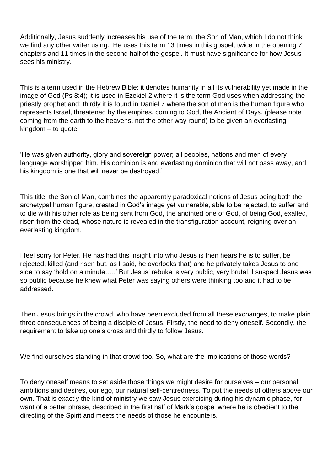Additionally, Jesus suddenly increases his use of the term, the Son of Man, which I do not think we find any other writer using. He uses this term 13 times in this gospel, twice in the opening 7 chapters and 11 times in the second half of the gospel. It must have significance for how Jesus sees his ministry.

This is a term used in the Hebrew Bible: it denotes humanity in all its vulnerability yet made in the image of God (Ps 8:4); it is used in Ezekiel 2 where it is the term God uses when addressing the priestly prophet and; thirdly it is found in Daniel 7 where the son of man is the human figure who represents Israel, threatened by the empires, coming to God, the Ancient of Days, (please note coming from the earth to the heavens, not the other way round) to be given an everlasting kingdom – to quote:

'He was given authority, glory and sovereign power; all peoples, nations and men of every language worshipped him. His dominion is and everlasting dominion that will not pass away, and his kingdom is one that will never be destroyed.'

This title, the Son of Man, combines the apparently paradoxical notions of Jesus being both the archetypal human figure, created in God's image yet vulnerable, able to be rejected, to suffer and to die with his other role as being sent from God, the anointed one of God, of being God, exalted, risen from the dead, whose nature is revealed in the transfiguration account, reigning over an everlasting kingdom.

I feel sorry for Peter. He has had this insight into who Jesus is then hears he is to suffer, be rejected, killed (and risen but, as I said, he overlooks that) and he privately takes Jesus to one side to say 'hold on a minute…..' But Jesus' rebuke is very public, very brutal. I suspect Jesus was so public because he knew what Peter was saying others were thinking too and it had to be addressed.

Then Jesus brings in the crowd, who have been excluded from all these exchanges, to make plain three consequences of being a disciple of Jesus. Firstly, the need to deny oneself. Secondly, the requirement to take up one's cross and thirdly to follow Jesus.

We find ourselves standing in that crowd too. So, what are the implications of those words?

To deny oneself means to set aside those things we might desire for ourselves – our personal ambitions and desires, our ego, our natural self-centredness. To put the needs of others above our own. That is exactly the kind of ministry we saw Jesus exercising during his dynamic phase, for want of a better phrase, described in the first half of Mark's gospel where he is obedient to the directing of the Spirit and meets the needs of those he encounters.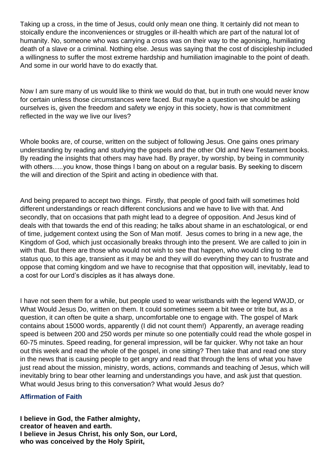Taking up a cross, in the time of Jesus, could only mean one thing. It certainly did not mean to stoically endure the inconveniences or struggles or ill-health which are part of the natural lot of humanity. No, someone who was carrying a cross was on their way to the agonising, humiliating death of a slave or a criminal. Nothing else. Jesus was saying that the cost of discipleship included a willingness to suffer the most extreme hardship and humiliation imaginable to the point of death. And some in our world have to do exactly that.

Now I am sure many of us would like to think we would do that, but in truth one would never know for certain unless those circumstances were faced. But maybe a question we should be asking ourselves is, given the freedom and safety we enjoy in this society, how is that commitment reflected in the way we live our lives?

Whole books are, of course, written on the subject of following Jesus. One gains ones primary understanding by reading and studying the gospels and the other Old and New Testament books. By reading the insights that others may have had. By prayer, by worship, by being in community with others.....you know, those things I bang on about on a regular basis. By seeking to discern the will and direction of the Spirit and acting in obedience with that.

And being prepared to accept two things. Firstly, that people of good faith will sometimes hold different understandings or reach different conclusions and we have to live with that. And secondly, that on occasions that path might lead to a degree of opposition. And Jesus kind of deals with that towards the end of this reading; he talks about shame in an eschatological, or end of time, judgement context using the Son of Man motif. Jesus comes to bring in a new age, the Kingdom of God, which just occasionally breaks through into the present. We are called to join in with that. But there are those who would not wish to see that happen, who would cling to the status quo, to this age, transient as it may be and they will do everything they can to frustrate and oppose that coming kingdom and we have to recognise that that opposition will, inevitably, lead to a cost for our Lord's disciples as it has always done.

I have not seen them for a while, but people used to wear wristbands with the legend WWJD, or What Would Jesus Do, written on them. It could sometimes seem a bit twee or trite but, as a question, it can often be quite a sharp, uncomfortable one to engage with. The gospel of Mark contains about 15000 words, apparently (I did not count them!) Apparently, an average reading speed is between 200 and 250 words per minute so one potentially could read the whole gospel in 60-75 minutes. Speed reading, for general impression, will be far quicker. Why not take an hour out this week and read the whole of the gospel, in one sitting? Then take that and read one story in the news that is causing people to get angry and read that through the lens of what you have just read about the mission, ministry, words, actions, commands and teaching of Jesus, which will inevitably bring to bear other learning and understandings you have, and ask just that question. What would Jesus bring to this conversation? What would Jesus do?

# **Affirmation of Faith**

**I believe in God, the Father almighty, creator of heaven and earth. I believe in Jesus Christ, his only Son, our Lord, who was conceived by the Holy Spirit,**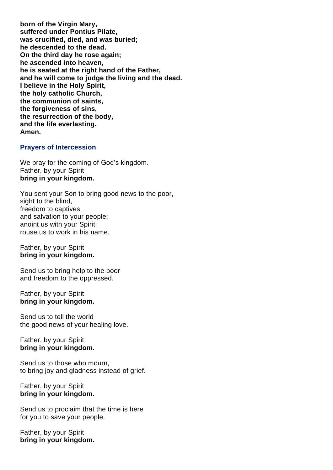**born of the Virgin Mary, suffered under Pontius Pilate, was crucified, died, and was buried; he descended to the dead. On the third day he rose again; he ascended into heaven, he is seated at the right hand of the Father, and he will come to judge the living and the dead. I believe in the Holy Spirit, the holy catholic Church, the communion of saints, the forgiveness of sins, the resurrection of the body, and the life everlasting. Amen.**

### **Prayers of Intercession**

We pray for the coming of God's kingdom. Father, by your Spirit **bring in your kingdom.**

You sent your Son to bring good news to the poor, sight to the blind. freedom to captives and salvation to your people: anoint us with your Spirit; rouse us to work in his name.

#### Father, by your Spirit **bring in your kingdom.**

Send us to bring help to the poor and freedom to the oppressed.

### Father, by your Spirit **bring in your kingdom.**

Send us to tell the world the good news of your healing love.

### Father, by your Spirit **bring in your kingdom.**

Send us to those who mourn, to bring joy and gladness instead of grief.

#### Father, by your Spirit **bring in your kingdom.**

Send us to proclaim that the time is here for you to save your people.

Father, by your Spirit **bring in your kingdom.**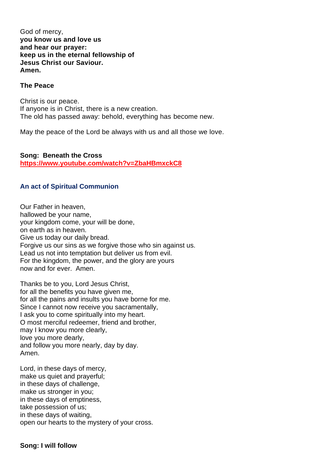God of mercy, **you know us and love us and hear our prayer: keep us in the eternal fellowship of Jesus Christ our Saviour. Amen.**

### **The Peace**

Christ is our peace. If anyone is in Christ, there is a new creation. The old has passed away: behold, everything has become new.

May the peace of the Lord be always with us and all those we love.

**Song: Beneath the Cross https://www.youtube.com/watch?v=ZbaHBmxckC8**

## **An act of Spiritual Communion**

Our Father in heaven, hallowed be your name, your kingdom come, your will be done, on earth as in heaven. Give us today our daily bread. Forgive us our sins as we forgive those who sin against us. Lead us not into temptation but deliver us from evil. For the kingdom, the power, and the glory are yours now and for ever. Amen.

Thanks be to you, Lord Jesus Christ, for all the benefits you have given me, for all the pains and insults you have borne for me. Since I cannot now receive you sacramentally, I ask you to come spiritually into my heart. O most merciful redeemer, friend and brother, may I know you more clearly, love you more dearly, and follow you more nearly, day by day. Amen.

Lord, in these days of mercy, make us quiet and prayerful; in these days of challenge, make us stronger in you; in these days of emptiness, take possession of us; in these days of waiting, open our hearts to the mystery of your cross.